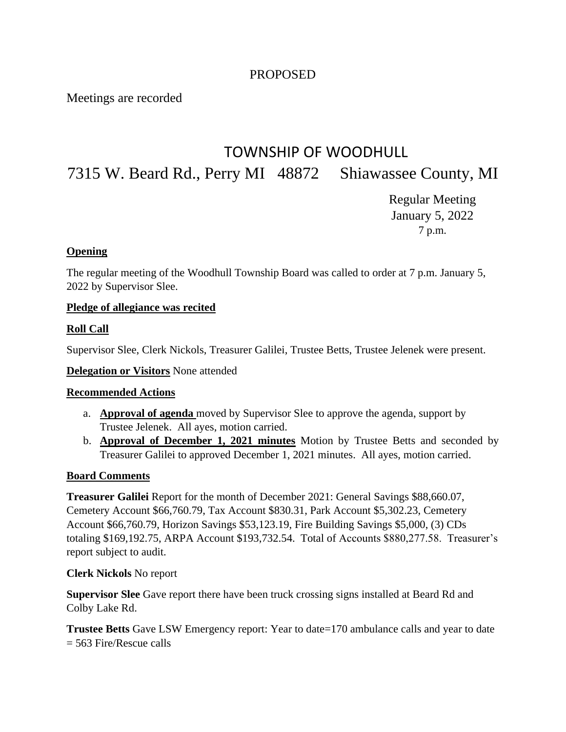# PROPOSED

Meetings are recorded

# TOWNSHIP OF WOODHULL 7315 W. Beard Rd., Perry MI 48872 Shiawassee County, MI

Regular Meeting January 5, 2022 7 p.m.

## **Opening**

The regular meeting of the Woodhull Township Board was called to order at 7 p.m. January 5, 2022 by Supervisor Slee.

#### **Pledge of allegiance was recited**

## **Roll Call**

Supervisor Slee, Clerk Nickols, Treasurer Galilei, Trustee Betts, Trustee Jelenek were present.

**Delegation or Visitors** None attended

#### **Recommended Actions**

- a. **Approval of agenda** moved by Supervisor Slee to approve the agenda, support by Trustee Jelenek. All ayes, motion carried.
- b. **Approval of December 1, 2021 minutes** Motion by Trustee Betts and seconded by Treasurer Galilei to approved December 1, 2021 minutes. All ayes, motion carried.

#### **Board Comments**

**Treasurer Galilei** Report for the month of December 2021: General Savings \$88,660.07, Cemetery Account \$66,760.79, Tax Account \$830.31, Park Account \$5,302.23, Cemetery Account \$66,760.79, Horizon Savings \$53,123.19, Fire Building Savings \$5,000, (3) CDs totaling \$169,192.75, ARPA Account \$193,732.54. Total of Accounts \$880,277.58. Treasurer's report subject to audit.

#### **Clerk Nickols** No report

**Supervisor Slee** Gave report there have been truck crossing signs installed at Beard Rd and Colby Lake Rd.

**Trustee Betts** Gave LSW Emergency report: Year to date=170 ambulance calls and year to date = 563 Fire/Rescue calls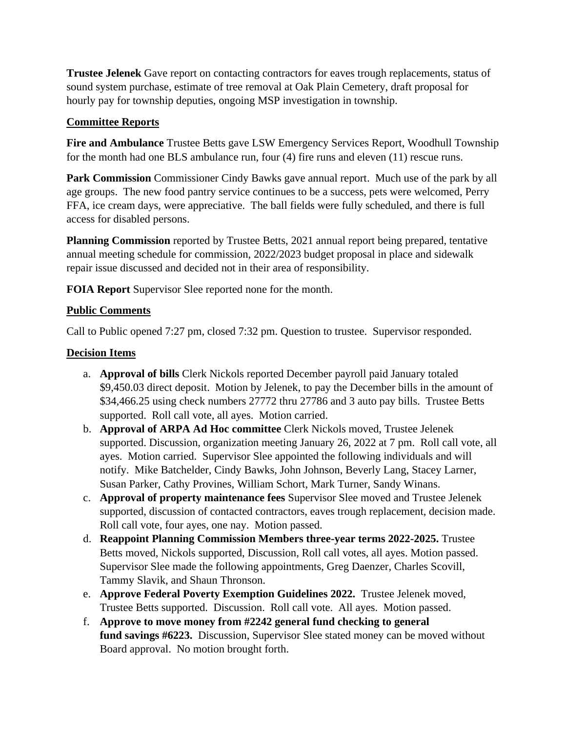**Trustee Jelenek** Gave report on contacting contractors for eaves trough replacements, status of sound system purchase, estimate of tree removal at Oak Plain Cemetery, draft proposal for hourly pay for township deputies, ongoing MSP investigation in township.

## **Committee Reports**

**Fire and Ambulance** Trustee Betts gave LSW Emergency Services Report, Woodhull Township for the month had one BLS ambulance run, four (4) fire runs and eleven (11) rescue runs.

Park Commission Commissioner Cindy Bawks gave annual report. Much use of the park by all age groups. The new food pantry service continues to be a success, pets were welcomed, Perry FFA, ice cream days, were appreciative. The ball fields were fully scheduled, and there is full access for disabled persons.

**Planning Commission** reported by Trustee Betts, 2021 annual report being prepared, tentative annual meeting schedule for commission, 2022/2023 budget proposal in place and sidewalk repair issue discussed and decided not in their area of responsibility.

**FOIA Report** Supervisor Slee reported none for the month.

## **Public Comments**

Call to Public opened 7:27 pm, closed 7:32 pm. Question to trustee. Supervisor responded.

## **Decision Items**

- a. **Approval of bills** Clerk Nickols reported December payroll paid January totaled \$9,450.03 direct deposit. Motion by Jelenek, to pay the December bills in the amount of \$34,466.25 using check numbers 27772 thru 27786 and 3 auto pay bills. Trustee Betts supported. Roll call vote, all ayes. Motion carried.
- b. **Approval of ARPA Ad Hoc committee** Clerk Nickols moved, Trustee Jelenek supported. Discussion, organization meeting January 26, 2022 at 7 pm. Roll call vote, all ayes. Motion carried. Supervisor Slee appointed the following individuals and will notify. Mike Batchelder, Cindy Bawks, John Johnson, Beverly Lang, Stacey Larner, Susan Parker, Cathy Provines, William Schort, Mark Turner, Sandy Winans.
- c. **Approval of property maintenance fees** Supervisor Slee moved and Trustee Jelenek supported, discussion of contacted contractors, eaves trough replacement, decision made. Roll call vote, four ayes, one nay. Motion passed.
- d. **Reappoint Planning Commission Members three-year terms 2022-2025.** Trustee Betts moved, Nickols supported, Discussion, Roll call votes, all ayes. Motion passed. Supervisor Slee made the following appointments, Greg Daenzer, Charles Scovill, Tammy Slavik, and Shaun Thronson.
- e. **Approve Federal Poverty Exemption Guidelines 2022.** Trustee Jelenek moved, Trustee Betts supported. Discussion. Roll call vote. All ayes. Motion passed.
- f. **Approve to move money from #2242 general fund checking to general fund savings #6223.** Discussion, Supervisor Slee stated money can be moved without Board approval. No motion brought forth.